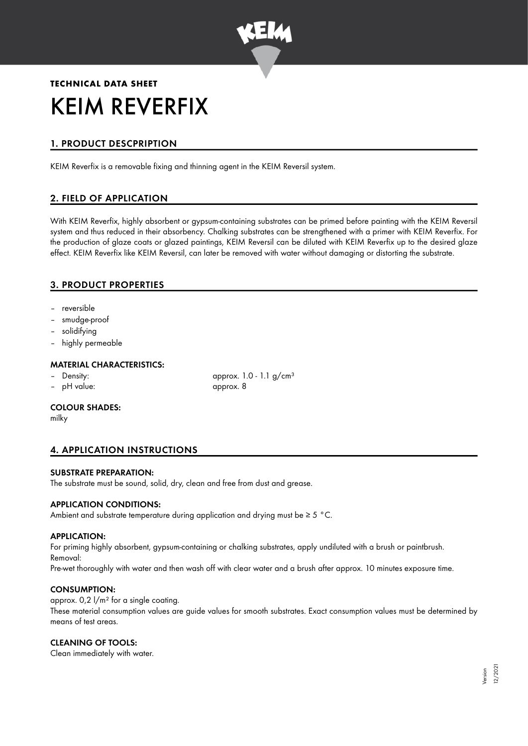

# **TECHNICAL DATA SHEET** KEIM REVERFIX

# 1. PRODUCT DESCPRIPTION

KEIM Reverfix is a removable fixing and thinning agent in the KEIM Reversil system.

# 2. FIELD OF APPLICATION

With KEIM Reverfix, highly absorbent or gypsum-containing substrates can be primed before painting with the KEIM Reversil system and thus reduced in their absorbency. Chalking substrates can be strengthened with a primer with KEIM Reverfix. For the production of glaze coats or glazed paintings, KEIM Reversil can be diluted with KEIM Reverfix up to the desired glaze effect. KEIM Reverfix like KEIM Reversil, can later be removed with water without damaging or distorting the substrate.

## 3. PRODUCT PROPERTIES

- reversible
- smudge-proof
- solidifying
- highly permeable

#### MATERIAL CHARACTERISTICS:

- 
- pH value: approx. 8

Density:  $\qquad \qquad \text{approx. 1.0 - 1.1 g/cm<sup>3</sup>}$ 

#### COLOUR SHADES:

milky

## 4. APPLICATION INSTRUCTIONS

#### SUBSTRATE PREPARATION:

The substrate must be sound, solid, dry, clean and free from dust and grease.

#### APPLICATION CONDITIONS:

Ambient and substrate temperature during application and drying must be ≥ 5 °C.

#### APPLICATION:

For priming highly absorbent, gypsum-containing or chalking substrates, apply undiluted with a brush or paintbrush. Removal:

Pre-wet thoroughly with water and then wash off with clear water and a brush after approx. 10 minutes exposure time.

#### CONSUMPTION:

approx.  $0.2 \frac{1}{m^2}$  for a single coating.

These material consumption values are guide values for smooth substrates. Exact consumption values must be determined by means of test areas.

#### CLEANING OF TOOLS:

Clean immediately with water.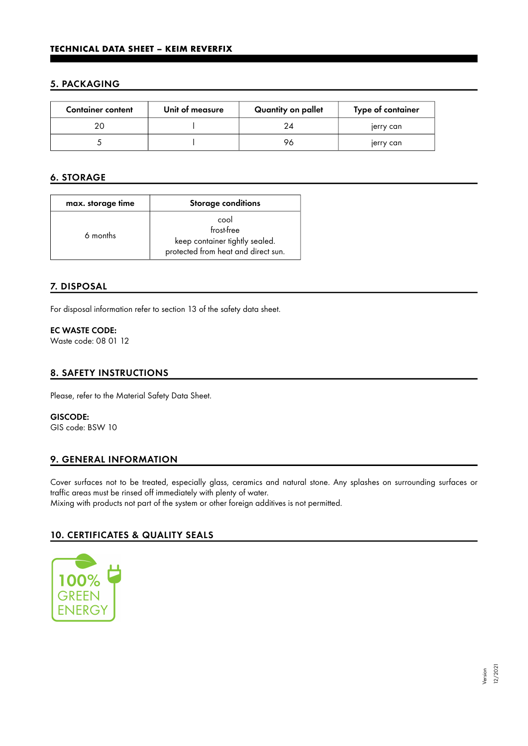#### 5. PACKAGING

| <b>Container content</b> | Unit of measure | Quantity on pallet | Type of container |
|--------------------------|-----------------|--------------------|-------------------|
|                          |                 |                    | jerry can         |
|                          |                 | 96                 | jerry can         |

## 6. STORAGE

| max. storage time | <b>Storage conditions</b>                                                                   |  |
|-------------------|---------------------------------------------------------------------------------------------|--|
| 6 months          | cool<br>frost-free<br>keep container tightly sealed.<br>protected from heat and direct sun. |  |

#### 7. DISPOSAL

For disposal information refer to section 13 of the safety data sheet.

#### EC WASTE CODE:

Waste code: 08 01 12

#### 8. SAFETY INSTRUCTIONS

Please, refer to the Material Safety Data Sheet.

GISCODE: GIS code: BSW 10

#### 9. GENERAL INFORMATION

Cover surfaces not to be treated, especially glass, ceramics and natural stone. Any splashes on surrounding surfaces or traffic areas must be rinsed off immediately with plenty of water. Mixing with products not part of the system or other foreign additives is not permitted.

## 10. CERTIFICATES & QUALITY SEALS